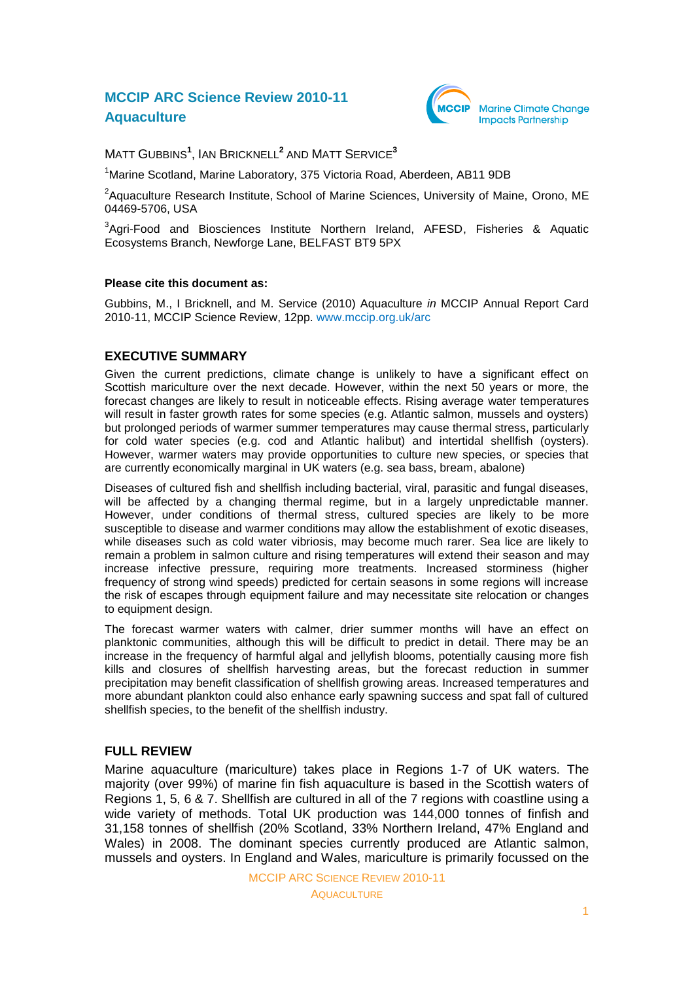# **MCCIP ARC Science Review 2010-11 Aquaculture**



MATT GUBBINS**<sup>1</sup>** , IAN BRICKNELL**<sup>2</sup>** AND MATT SERVICE**<sup>3</sup>**

<sup>1</sup>Marine Scotland, Marine Laboratory, 375 Victoria Road, Aberdeen, AB11 9DB

<sup>2</sup>Aquaculture Research Institute, School of Marine Sciences, University of Maine, Orono, ME 04469-5706, USA

<sup>3</sup>Agri-Food and Biosciences Institute Northern Ireland, AFESD, Fisheries & Aquatic Ecosystems Branch, Newforge Lane, BELFAST BT9 5PX

#### **Please cite this document as:**

Gubbins, M., I Bricknell, and M. Service (2010) Aquaculture *in* MCCIP Annual Report Card 2010-11, MCCIP Science Review, 12pp. [www.mccip.org.uk/arc](http://www.mccip.org.uk/arc)

## **EXECUTIVE SUMMARY**

Given the current predictions, climate change is unlikely to have a significant effect on Scottish mariculture over the next decade. However, within the next 50 years or more, the forecast changes are likely to result in noticeable effects. Rising average water temperatures will result in faster growth rates for some species (e.g. Atlantic salmon, mussels and oysters) but prolonged periods of warmer summer temperatures may cause thermal stress, particularly for cold water species (e.g. cod and Atlantic halibut) and intertidal shellfish (oysters). However, warmer waters may provide opportunities to culture new species, or species that are currently economically marginal in UK waters (e.g. sea bass, bream, abalone)

Diseases of cultured fish and shellfish including bacterial, viral, parasitic and fungal diseases, will be affected by a changing thermal regime, but in a largely unpredictable manner. However, under conditions of thermal stress, cultured species are likely to be more susceptible to disease and warmer conditions may allow the establishment of exotic diseases, while diseases such as cold water vibriosis, may become much rarer. Sea lice are likely to remain a problem in salmon culture and rising temperatures will extend their season and may increase infective pressure, requiring more treatments. Increased storminess (higher frequency of strong wind speeds) predicted for certain seasons in some regions will increase the risk of escapes through equipment failure and may necessitate site relocation or changes to equipment design.

The forecast warmer waters with calmer, drier summer months will have an effect on planktonic communities, although this will be difficult to predict in detail. There may be an increase in the frequency of harmful algal and jellyfish blooms, potentially causing more fish kills and closures of shellfish harvesting areas, but the forecast reduction in summer precipitation may benefit classification of shellfish growing areas. Increased temperatures and more abundant plankton could also enhance early spawning success and spat fall of cultured shellfish species, to the benefit of the shellfish industry.

# **FULL REVIEW**

Marine aquaculture (mariculture) takes place in Regions 1-7 of UK waters. The majority (over 99%) of marine fin fish aquaculture is based in the Scottish waters of Regions 1, 5, 6 & 7. Shellfish are cultured in all of the 7 regions with coastline using a wide variety of methods. Total UK production was 144,000 tonnes of finfish and 31,158 tonnes of shellfish (20% Scotland, 33% Northern Ireland, 47% England and Wales) in 2008. The dominant species currently produced are Atlantic salmon, mussels and oysters. In England and Wales, mariculture is primarily focussed on the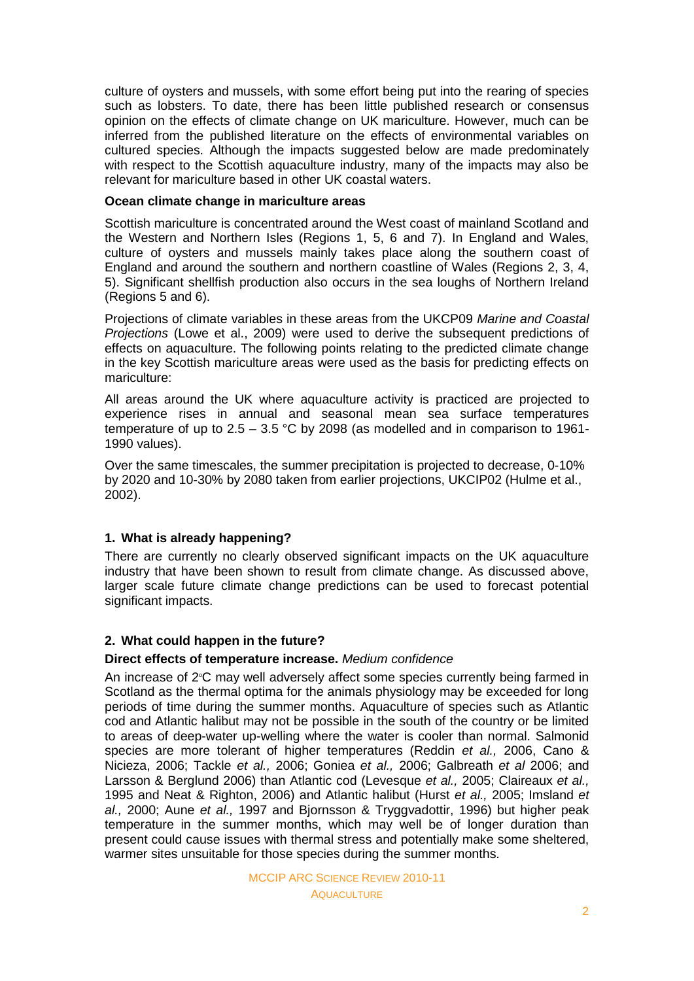culture of oysters and mussels, with some effort being put into the rearing of species such as lobsters. To date, there has been little published research or consensus opinion on the effects of climate change on UK mariculture. However, much can be inferred from the published literature on the effects of environmental variables on cultured species. Although the impacts suggested below are made predominately with respect to the Scottish aquaculture industry, many of the impacts may also be relevant for mariculture based in other UK coastal waters.

#### **Ocean climate change in mariculture areas**

Scottish mariculture is concentrated around the West coast of mainland Scotland and the Western and Northern Isles (Regions 1, 5, 6 and 7). In England and Wales, culture of oysters and mussels mainly takes place along the southern coast of England and around the southern and northern coastline of Wales (Regions 2, 3, 4, 5). Significant shellfish production also occurs in the sea loughs of Northern Ireland (Regions 5 and 6).

Projections of climate variables in these areas from the UKCP09 *Marine and Coastal Projections* (Lowe et al., 2009) were used to derive the subsequent predictions of effects on aquaculture. The following points relating to the predicted climate change in the key Scottish mariculture areas were used as the basis for predicting effects on mariculture:

All areas around the UK where aquaculture activity is practiced are projected to experience rises in annual and seasonal mean sea surface temperatures temperature of up to  $2.5 - 3.5$  °C by 2098 (as modelled and in comparison to 1961-1990 values).

Over the same timescales, the summer precipitation is projected to decrease, 0-10% by 2020 and 10-30% by 2080 taken from earlier projections, UKCIP02 [\(Hulme](http://www.ukcip.org/scenarios/ukcip02/scenarios/maps) et al., 2002).

# **1. What is already happening?**

There are currently no clearly observed significant impacts on the UK aquaculture industry that have been shown to result from climate change. As discussed above, larger scale future climate change predictions can be used to forecast potential significant impacts.

# **2. What could happen in the future?**

# **Direct effects of temperature increase.** *Medium confidence*

An increase of  $2^{\circ}$ C may well adversely affect some species currently being farmed in Scotland as the thermal optima for the animals physiology may be exceeded for long periods of time during the summer months. Aquaculture of species such as Atlantic cod and Atlantic halibut may not be possible in the south of the country or be limited to areas of deep-water up-welling where the water is cooler than normal. Salmonid species are more tolerant of higher temperatures (Reddin *et al.,* 2006, Cano & Nicieza, 2006; Tackle *et al.,* 2006; Goniea *et al.,* 2006; Galbreath *et al* 2006; and Larsson & Berglund 2006) than Atlantic cod (Levesque *et al.,* 2005; Claireaux *et al.,*  1995 and Neat & Righton, 2006) and Atlantic halibut (Hurst *et al.,* 2005; Imsland *et al.,* 2000; Aune *et al.,* 1997 and Bjornsson & Tryggvadottir, 1996) but higher peak temperature in the summer months, which may well be of longer duration than present could cause issues with thermal stress and potentially make some sheltered, warmer sites unsuitable for those species during the summer months.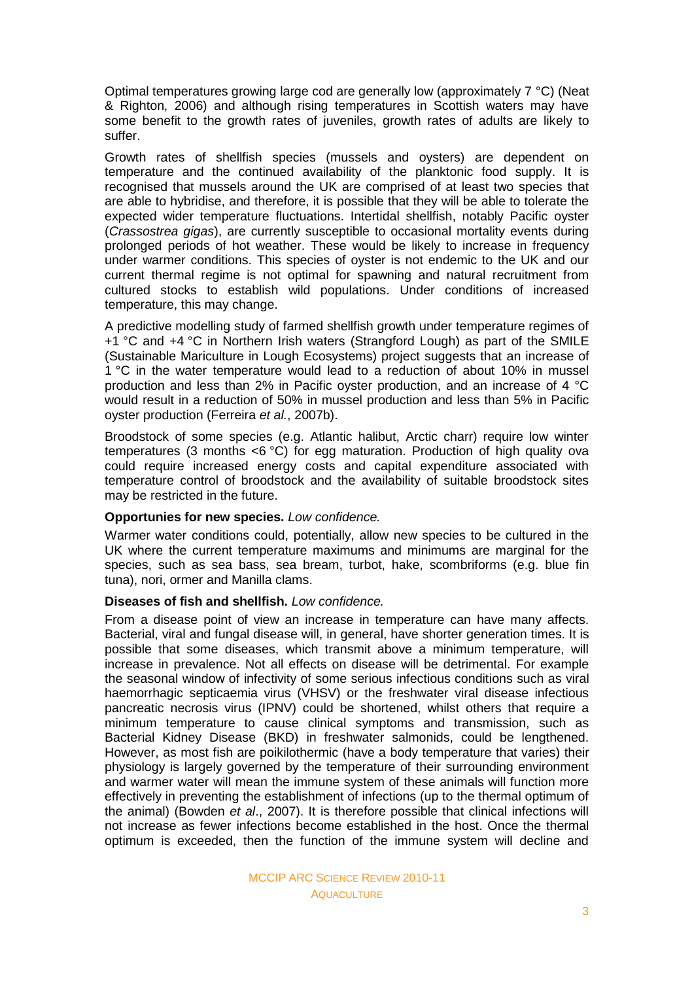Optimal temperatures growing large cod are generally low (approximately 7 °C) (Neat & Righton, 2006) and although rising temperatures in Scottish waters may have some benefit to the growth rates of juveniles, growth rates of adults are likely to suffer.

Growth rates of shellfish species (mussels and oysters) are dependent on temperature and the continued availability of the planktonic food supply. It is recognised that mussels around the UK are comprised of at least two species that are able to hybridise, and therefore, it is possible that they will be able to tolerate the expected wider temperature fluctuations. Intertidal shellfish, notably Pacific oyster (*Crassostrea gigas*), are currently susceptible to occasional mortality events during prolonged periods of hot weather. These would be likely to increase in frequency under warmer conditions. This species of oyster is not endemic to the UK and our current thermal regime is not optimal for spawning and natural recruitment from cultured stocks to establish wild populations. Under conditions of increased temperature, this may change.

A predictive modelling study of farmed shellfish growth under temperature regimes of +1 °C and +4 °C in Northern Irish waters (Strangford Lough) as part of the SMILE (Sustainable Mariculture in Lough Ecosystems) project suggests that an increase of 1 °C in the water temperature would lead to a reduction of about 10% in mussel production and less than 2% in Pacific oyster production, and an increase of 4 °C would result in a reduction of 50% in mussel production and less than 5% in Pacific oyster production (Ferreira *et al.*, 2007b).

Broodstock of some species (e.g. Atlantic halibut, Arctic charr) require low winter temperatures (3 months <6 °C) for egg maturation. Production of high quality ova could require increased energy costs and capital expenditure associated with temperature control of broodstock and the availability of suitable broodstock sites may be restricted in the future.

#### **Opportunies for new species.** *Low confidence.*

Warmer water conditions could, potentially, allow new species to be cultured in the UK where the current temperature maximums and minimums are marginal for the species, such as sea bass, sea bream, turbot, hake, scombriforms (e.g. blue fin tuna), nori, ormer and Manilla clams.

# **Diseases of fish and shellfish.** *Low confidence.*

From a disease point of view an increase in temperature can have many affects. Bacterial, viral and fungal disease will, in general, have shorter generation times. It is possible that some diseases, which transmit above a minimum temperature, will increase in prevalence. Not all effects on disease will be detrimental. For example the seasonal window of infectivity of some serious infectious conditions such as viral haemorrhagic septicaemia virus (VHSV) or the freshwater viral disease infectious pancreatic necrosis virus (IPNV) could be shortened, whilst others that require a minimum temperature to cause clinical symptoms and transmission, such as Bacterial Kidney Disease (BKD) in freshwater salmonids, could be lengthened. However, as most fish are poikilothermic (have a body temperature that varies) their physiology is largely governed by the temperature of their surrounding environment and warmer water will mean the immune system of these animals will function more effectively in preventing the establishment of infections (up to the thermal optimum of the animal) (Bowden *et al*., 2007). It is therefore possible that clinical infections will not increase as fewer infections become established in the host. Once the thermal optimum is exceeded, then the function of the immune system will decline and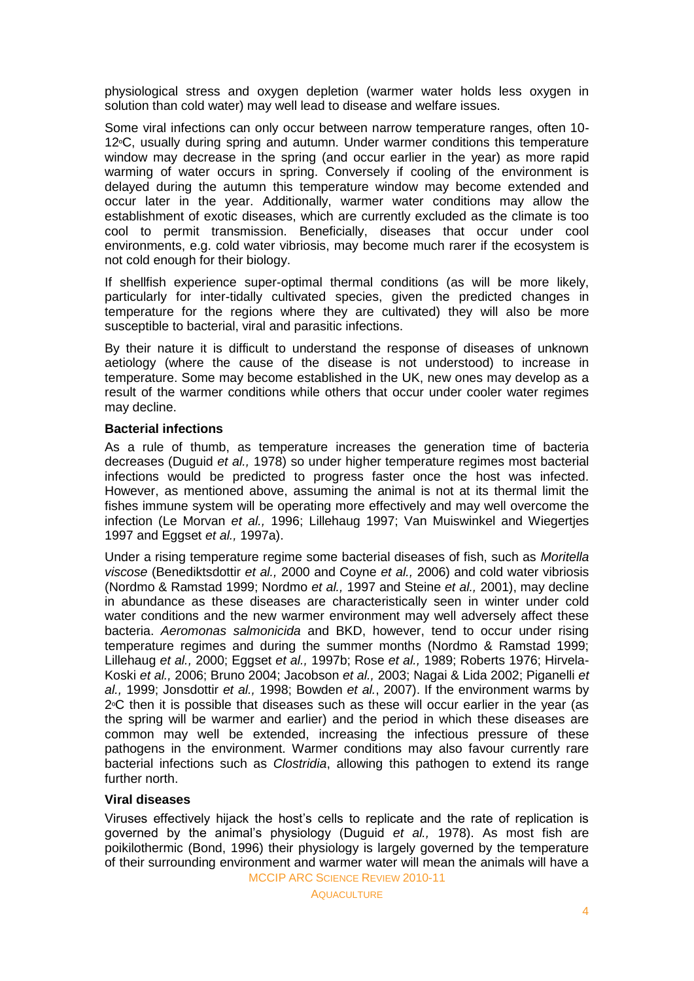physiological stress and oxygen depletion (warmer water holds less oxygen in solution than cold water) may well lead to disease and welfare issues.

Some viral infections can only occur between narrow temperature ranges, often 10- 12ºC, usually during spring and autumn. Under warmer conditions this temperature window may decrease in the spring (and occur earlier in the year) as more rapid warming of water occurs in spring. Conversely if cooling of the environment is delayed during the autumn this temperature window may become extended and occur later in the year. Additionally, warmer water conditions may allow the establishment of exotic diseases, which are currently excluded as the climate is too cool to permit transmission. Beneficially, diseases that occur under cool environments, e.g. cold water vibriosis, may become much rarer if the ecosystem is not cold enough for their biology.

If shellfish experience super-optimal thermal conditions (as will be more likely, particularly for inter-tidally cultivated species, given the predicted changes in temperature for the regions where they are cultivated) they will also be more susceptible to bacterial, viral and parasitic infections.

By their nature it is difficult to understand the response of diseases of unknown aetiology (where the cause of the disease is not understood) to increase in temperature. Some may become established in the UK, new ones may develop as a result of the warmer conditions while others that occur under cooler water regimes may decline.

#### **Bacterial infections**

As a rule of thumb, as temperature increases the generation time of bacteria decreases (Duguid *et al.,* 1978) so under higher temperature regimes most bacterial infections would be predicted to progress faster once the host was infected. However, as mentioned above, assuming the animal is not at its thermal limit the fishes immune system will be operating more effectively and may well overcome the infection (Le Morvan *et al.,* 1996; Lillehaug 1997; Van Muiswinkel and Wiegertjes 1997 and Eggset *et al.,* 1997a).

Under a rising temperature regime some bacterial diseases of fish, such as *Moritella viscose* (Benediktsdottir *et al.,* 2000 and Coyne *et al.,* 2006) and cold water vibriosis (Nordmo & Ramstad 1999; Nordmo *et al.,* 1997 and Steine *et al.,* 2001), may decline in abundance as these diseases are characteristically seen in winter under cold water conditions and the new warmer environment may well adversely affect these bacteria. *Aeromonas salmonicida* and BKD, however, tend to occur under rising temperature regimes and during the summer months (Nordmo & Ramstad 1999; Lillehaug *et al.,* 2000; Eggset *et al.,* 1997b; Rose *et al.,* 1989; Roberts 1976; Hirvela-Koski *et al.,* 2006; Bruno 2004; Jacobson *et al.,* 2003; Nagai & Lida 2002; Piganelli *et al.,* 1999; Jonsdottir *et al.,* 1998; Bowden *et al.*, 2007). If the environment warms by 2ºC then it is possible that diseases such as these will occur earlier in the year (as the spring will be warmer and earlier) and the period in which these diseases are common may well be extended, increasing the infectious pressure of these pathogens in the environment. Warmer conditions may also favour currently rare bacterial infections such as *Clostridia*, allowing this pathogen to extend its range further north.

## **Viral diseases**

MCCIP ARC SCIENCE REVIEW 2010-11 Viruses effectively hijack the host's cells to replicate and the rate of replication is governed by the animal's physiology (Duguid *et al.,* 1978). As most fish are poikilothermic (Bond, 1996) their physiology is largely governed by the temperature of their surrounding environment and warmer water will mean the animals will have a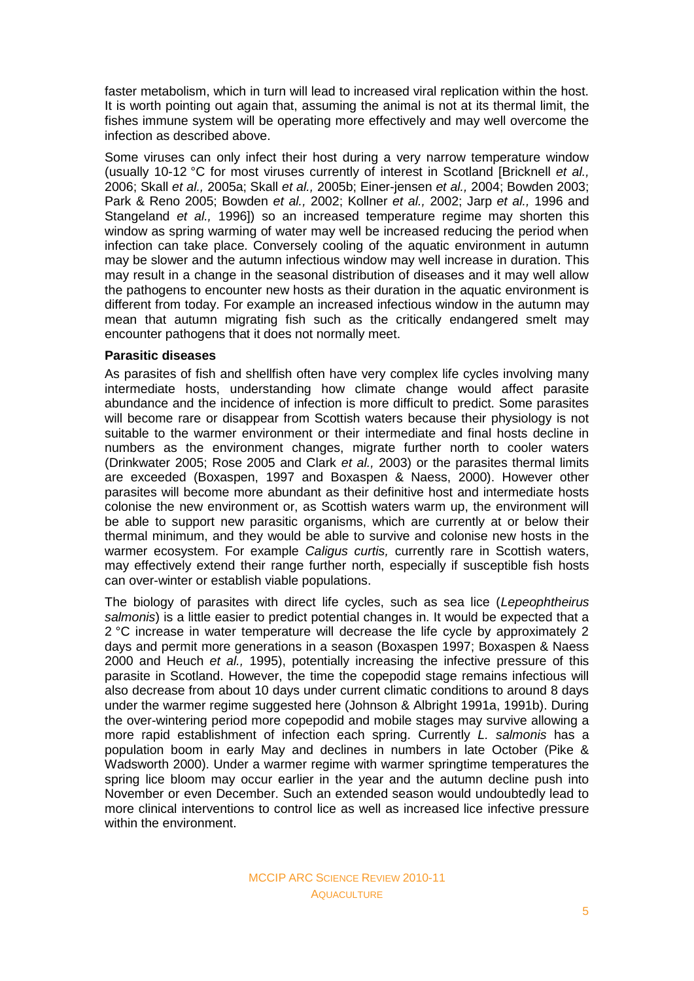faster metabolism, which in turn will lead to increased viral replication within the host. It is worth pointing out again that, assuming the animal is not at its thermal limit, the fishes immune system will be operating more effectively and may well overcome the infection as described above.

Some viruses can only infect their host during a very narrow temperature window (usually 10-12 °C for most viruses currently of interest in Scotland [Bricknell *et al.,*  2006; Skall *et al.,* 2005a; Skall *et al.,* 2005b; Einer-jensen *et al.,* 2004; Bowden 2003; Park & Reno 2005; Bowden *et al.,* 2002; Kollner *et al.,* 2002; Jarp *et al.,* 1996 and Stangeland *et al.,* 1996]) so an increased temperature regime may shorten this window as spring warming of water may well be increased reducing the period when infection can take place. Conversely cooling of the aquatic environment in autumn may be slower and the autumn infectious window may well increase in duration. This may result in a change in the seasonal distribution of diseases and it may well allow the pathogens to encounter new hosts as their duration in the aquatic environment is different from today. For example an increased infectious window in the autumn may mean that autumn migrating fish such as the critically endangered smelt may encounter pathogens that it does not normally meet.

# **Parasitic diseases**

As parasites of fish and shellfish often have very complex life cycles involving many intermediate hosts, understanding how climate change would affect parasite abundance and the incidence of infection is more difficult to predict. Some parasites will become rare or disappear from Scottish waters because their physiology is not suitable to the warmer environment or their intermediate and final hosts decline in numbers as the environment changes, migrate further north to cooler waters (Drinkwater 2005; Rose 2005 and Clark *et al.,* 2003) or the parasites thermal limits are exceeded (Boxaspen, 1997 and Boxaspen & Naess, 2000). However other parasites will become more abundant as their definitive host and intermediate hosts colonise the new environment or, as Scottish waters warm up, the environment will be able to support new parasitic organisms, which are currently at or below their thermal minimum, and they would be able to survive and colonise new hosts in the warmer ecosystem. For example *Caligus curtis,* currently rare in Scottish waters, may effectively extend their range further north, especially if susceptible fish hosts can over-winter or establish viable populations.

The biology of parasites with direct life cycles, such as sea lice (*Lepeophtheirus salmonis*) is a little easier to predict potential changes in. It would be expected that a 2 °C increase in water temperature will decrease the life cycle by approximately 2 days and permit more generations in a season (Boxaspen 1997; Boxaspen & Naess 2000 and Heuch *et al.,* 1995), potentially increasing the infective pressure of this parasite in Scotland. However, the time the copepodid stage remains infectious will also decrease from about 10 days under current climatic conditions to around 8 days under the warmer regime suggested here (Johnson & Albright 1991a, 1991b). During the over-wintering period more copepodid and mobile stages may survive allowing a more rapid establishment of infection each spring. Currently *L. salmonis* has a population boom in early May and declines in numbers in late October (Pike & Wadsworth 2000). Under a warmer regime with warmer springtime temperatures the spring lice bloom may occur earlier in the year and the autumn decline push into November or even December. Such an extended season would undoubtedly lead to more clinical interventions to control lice as well as increased lice infective pressure within the environment.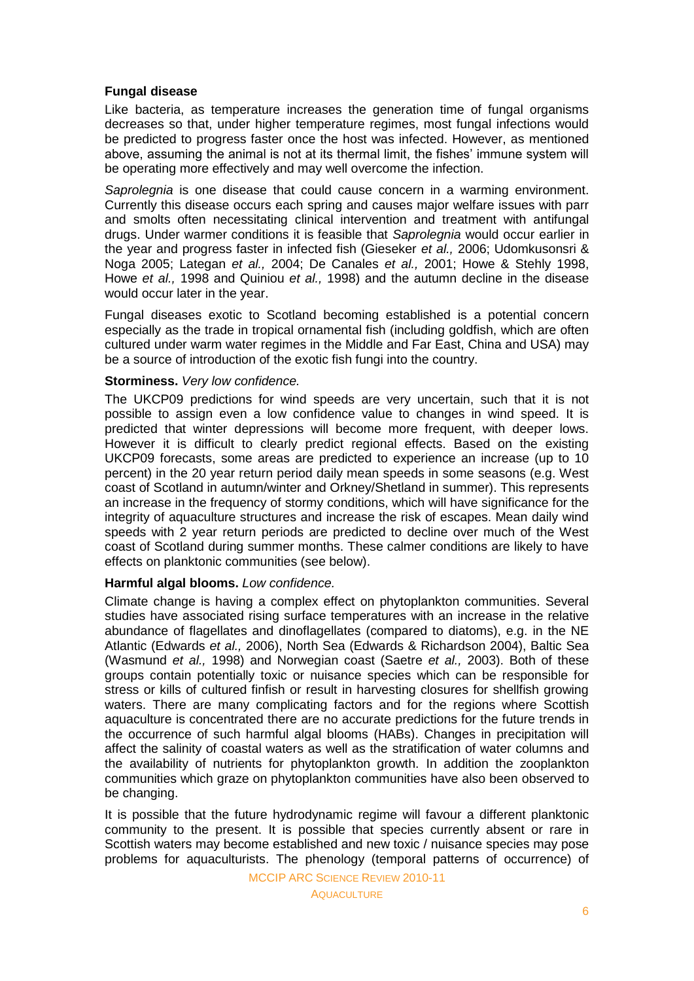# **Fungal disease**

Like bacteria, as temperature increases the generation time of fungal organisms decreases so that, under higher temperature regimes, most fungal infections would be predicted to progress faster once the host was infected. However, as mentioned above, assuming the animal is not at its thermal limit, the fishes' immune system will be operating more effectively and may well overcome the infection.

*Saprolegnia* is one disease that could cause concern in a warming environment. Currently this disease occurs each spring and causes major welfare issues with parr and smolts often necessitating clinical intervention and treatment with antifungal drugs. Under warmer conditions it is feasible that *Saprolegnia* would occur earlier in the year and progress faster in infected fish (Gieseker *et al.,* 2006; Udomkusonsri & Noga 2005; Lategan *et al.,* 2004; De Canales *et al.,* 2001; Howe & Stehly 1998, Howe *et al.,* 1998 and Quiniou *et al.,* 1998) and the autumn decline in the disease would occur later in the year.

Fungal diseases exotic to Scotland becoming established is a potential concern especially as the trade in tropical ornamental fish (including goldfish, which are often cultured under warm water regimes in the Middle and Far East, China and USA) may be a source of introduction of the exotic fish fungi into the country.

#### **Storminess.** *Very low confidence.*

The UKCP09 predictions for wind speeds are very uncertain, such that it is not possible to assign even a low confidence value to changes in wind speed. It is predicted that winter depressions will become more frequent, with deeper lows. However it is difficult to clearly predict regional effects. Based on the existing UKCP09 forecasts, some areas are predicted to experience an increase (up to 10 percent) in the 20 year return period daily mean speeds in some seasons (e.g. West coast of Scotland in autumn/winter and Orkney/Shetland in summer). This represents an increase in the frequency of stormy conditions, which will have significance for the integrity of aquaculture structures and increase the risk of escapes. Mean daily wind speeds with 2 year return periods are predicted to decline over much of the West coast of Scotland during summer months. These calmer conditions are likely to have effects on planktonic communities (see below).

## **Harmful algal blooms.** *Low confidence.*

Climate change is having a complex effect on phytoplankton communities. Several studies have associated rising surface temperatures with an increase in the relative abundance of flagellates and dinoflagellates (compared to diatoms), e.g. in the NE Atlantic (Edwards *et al.,* 2006), North Sea (Edwards & Richardson 2004), Baltic Sea (Wasmund *et al.,* 1998) and Norwegian coast (Saetre *et al.,* 2003). Both of these groups contain potentially toxic or nuisance species which can be responsible for stress or kills of cultured finfish or result in harvesting closures for shellfish growing waters. There are many complicating factors and for the regions where Scottish aquaculture is concentrated there are no accurate predictions for the future trends in the occurrence of such harmful algal blooms (HABs). Changes in precipitation will affect the salinity of coastal waters as well as the stratification of water columns and the availability of nutrients for phytoplankton growth. In addition the zooplankton communities which graze on phytoplankton communities have also been observed to be changing.

It is possible that the future hydrodynamic regime will favour a different planktonic community to the present. It is possible that species currently absent or rare in Scottish waters may become established and new toxic / nuisance species may pose problems for aquaculturists. The phenology (temporal patterns of occurrence) of

MCCIP ARC SCIENCE REVIEW 2010-11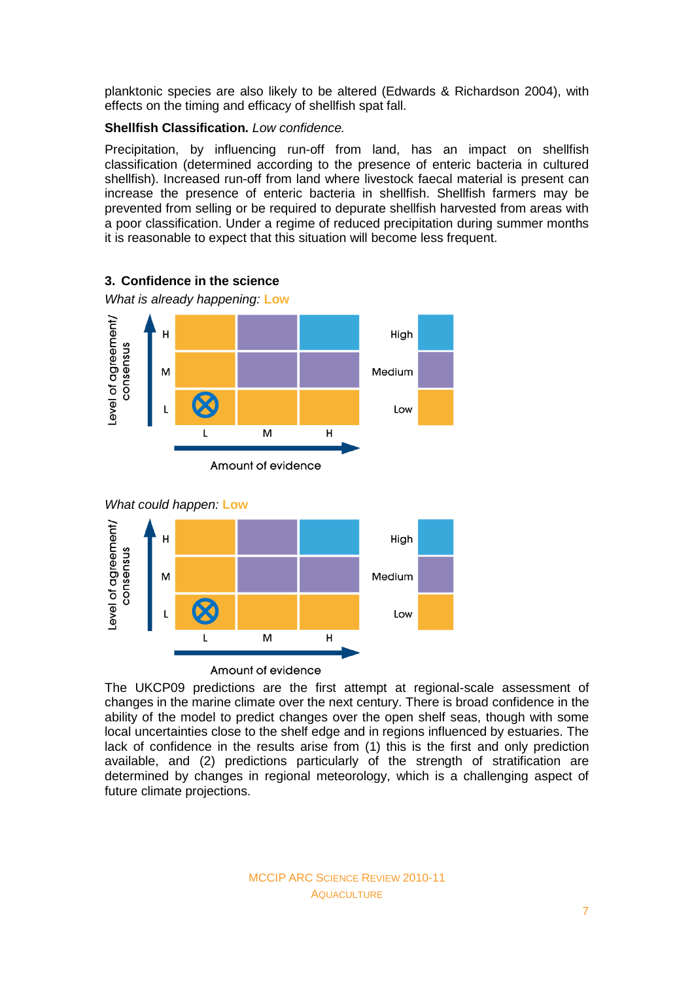planktonic species are also likely to be altered (Edwards & Richardson 2004), with effects on the timing and efficacy of shellfish spat fall.

# **Shellfish Classification.** *Low confidence.*

Precipitation, by influencing run-off from land, has an impact on shellfish classification (determined according to the presence of enteric bacteria in cultured shellfish). Increased run-off from land where livestock faecal material is present can increase the presence of enteric bacteria in shellfish. Shellfish farmers may be prevented from selling or be required to depurate shellfish harvested from areas with a poor classification. Under a regime of reduced precipitation during summer months it is reasonable to expect that this situation will become less frequent.



# **3. Confidence in the science**

*What is already happening:* **Low**



The UKCP09 predictions are the first attempt at regional-scale assessment of changes in the marine climate over the next century. There is broad confidence in the ability of the model to predict changes over the open shelf seas, though with some local uncertainties close to the shelf edge and in regions influenced by estuaries. The lack of confidence in the results arise from (1) this is the first and only prediction available, and (2) predictions particularly of the strength of stratification are determined by changes in regional meteorology, which is a challenging aspect of future climate projections.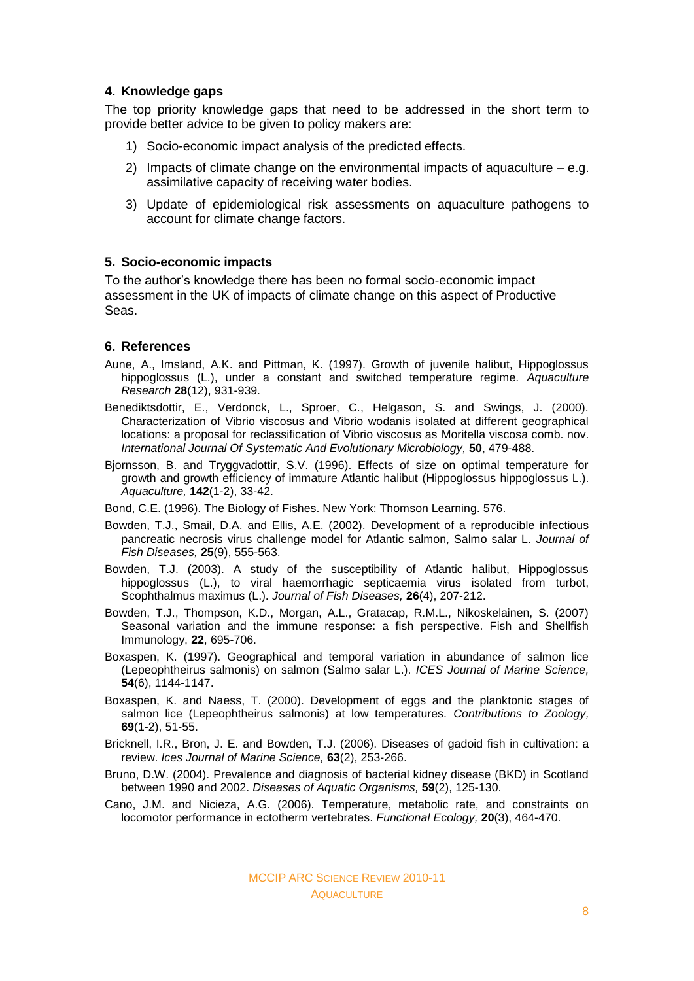# **4. Knowledge gaps**

The top priority knowledge gaps that need to be addressed in the short term to provide better advice to be given to policy makers are:

- 1) Socio-economic impact analysis of the predicted effects.
- 2) Impacts of climate change on the environmental impacts of aquaculture  $-$  e.g. assimilative capacity of receiving water bodies.
- 3) Update of epidemiological risk assessments on aquaculture pathogens to account for climate change factors.

# **5. Socio-economic impacts**

To the author's knowledge there has been no formal socio-economic impact assessment in the UK of impacts of climate change on this aspect of Productive Seas.

## **6. References**

- Aune, A., Imsland, A.K. and Pittman, K. (1997). Growth of juvenile halibut, Hippoglossus hippoglossus (L.), under a constant and switched temperature regime. *Aquaculture Research* **28**(12), 931-939.
- Benediktsdottir, E., Verdonck, L., Sproer, C., Helgason, S. and Swings, J. (2000). Characterization of Vibrio viscosus and Vibrio wodanis isolated at different geographical locations: a proposal for reclassification of Vibrio viscosus as Moritella viscosa comb. nov. *International Journal Of Systematic And Evolutionary Microbiology,* **50**, 479-488.
- Bjornsson, B. and Tryggvadottir, S.V. (1996). Effects of size on optimal temperature for growth and growth efficiency of immature Atlantic halibut (Hippoglossus hippoglossus L.). *Aquaculture,* **142**(1-2), 33-42.

Bond, C.E. (1996). The Biology of Fishes. New York: Thomson Learning. 576.

- Bowden, T.J., Smail, D.A. and Ellis, A.E. (2002). Development of a reproducible infectious pancreatic necrosis virus challenge model for Atlantic salmon, Salmo salar L. *Journal of Fish Diseases,* **25**(9), 555-563.
- Bowden, T.J. (2003). A study of the susceptibility of Atlantic halibut, Hippoglossus hippoglossus (L.), to viral haemorrhagic septicaemia virus isolated from turbot, Scophthalmus maximus (L.). *Journal of Fish Diseases,* **26**(4), 207-212.
- Bowden, T.J., Thompson, K.D., Morgan, A.L., Gratacap, R.M.L., Nikoskelainen, S. (2007) Seasonal variation and the immune response: a fish perspective. Fish and Shellfish Immunology, **22**, 695-706.
- Boxaspen, K. (1997). Geographical and temporal variation in abundance of salmon lice (Lepeophtheirus salmonis) on salmon (Salmo salar L.). *ICES Journal of Marine Science,* **54**(6), 1144-1147.
- Boxaspen, K. and Naess, T. (2000). Development of eggs and the planktonic stages of salmon lice (Lepeophtheirus salmonis) at low temperatures. *Contributions to Zoology,* **69**(1-2), 51-55.
- Bricknell, I.R., Bron, J. E. and Bowden, T.J. (2006). Diseases of gadoid fish in cultivation: a review. *Ices Journal of Marine Science,* **63**(2), 253-266.
- Bruno, D.W. (2004). Prevalence and diagnosis of bacterial kidney disease (BKD) in Scotland between 1990 and 2002. *Diseases of Aquatic Organisms,* **59**(2), 125-130.
- Cano, J.M. and Nicieza, A.G. (2006). Temperature, metabolic rate, and constraints on locomotor performance in ectotherm vertebrates. *Functional Ecology,* **20**(3), 464-470.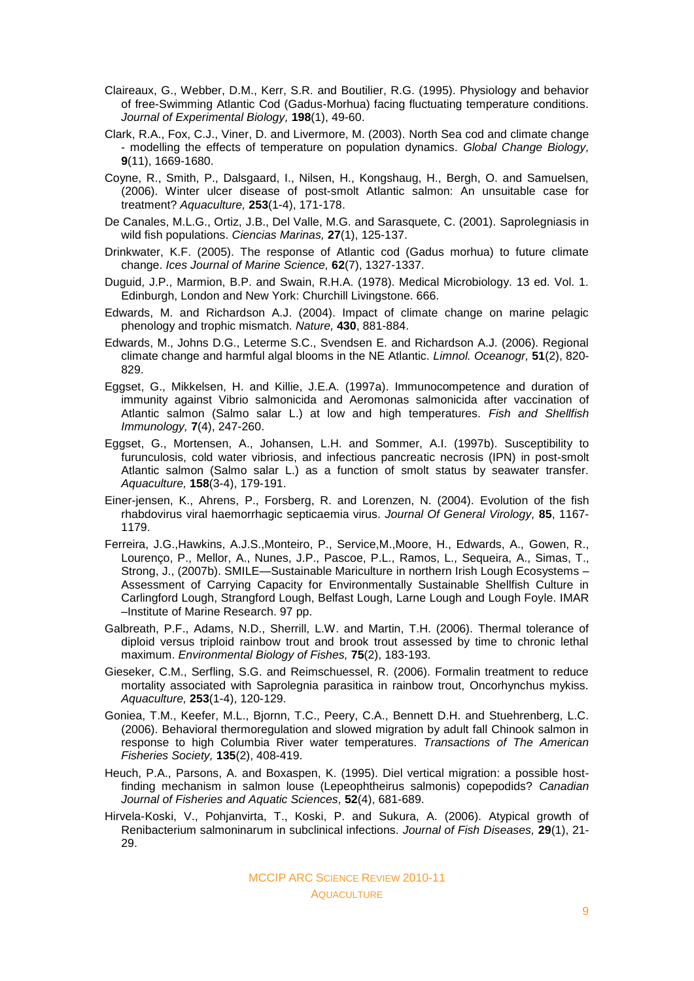- Claireaux, G., Webber, D.M., Kerr, S.R. and Boutilier, R.G. (1995). Physiology and behavior of free-Swimming Atlantic Cod (Gadus-Morhua) facing fluctuating temperature conditions. *Journal of Experimental Biology,* **198**(1), 49-60.
- Clark, R.A., Fox, C.J., Viner, D. and Livermore, M. (2003). North Sea cod and climate change - modelling the effects of temperature on population dynamics. *Global Change Biology,* **9**(11), 1669-1680.
- Coyne, R., Smith, P., Dalsgaard, I., Nilsen, H., Kongshaug, H., Bergh, O. and Samuelsen, (2006). Winter ulcer disease of post-smolt Atlantic salmon: An unsuitable case for treatment? *Aquaculture,* **253**(1-4), 171-178.
- De Canales, M.L.G., Ortiz, J.B., Del Valle, M.G. and Sarasquete, C. (2001). Saprolegniasis in wild fish populations. *Ciencias Marinas,* **27**(1), 125-137.
- Drinkwater, K.F. (2005). The response of Atlantic cod (Gadus morhua) to future climate change. *Ices Journal of Marine Science,* **62**(7), 1327-1337.
- Duguid, J.P., Marmion, B.P. and Swain, R.H.A. (1978). Medical Microbiology. 13 ed. Vol. 1. Edinburgh, London and New York: Churchill Livingstone. 666.
- Edwards, M. and Richardson A.J. (2004). Impact of climate change on marine pelagic phenology and trophic mismatch. *Nature,* **430**, 881-884.
- Edwards, M., Johns D.G., Leterme S.C., Svendsen E. and Richardson A.J. (2006). Regional climate change and harmful algal blooms in the NE Atlantic. *Limnol. Oceanogr,* **51**(2), 820- 829.
- Eggset, G., Mikkelsen, H. and Killie, J.E.A. (1997a). Immunocompetence and duration of immunity against Vibrio salmonicida and Aeromonas salmonicida after vaccination of Atlantic salmon (Salmo salar L.) at low and high temperatures. *Fish and Shellfish Immunology,* **7**(4), 247-260.
- Eggset, G., Mortensen, A., Johansen, L.H. and Sommer, A.I. (1997b). Susceptibility to furunculosis, cold water vibriosis, and infectious pancreatic necrosis (IPN) in post-smolt Atlantic salmon (Salmo salar L.) as a function of smolt status by seawater transfer. *Aquaculture,* **158**(3-4), 179-191.
- Einer-jensen, K., Ahrens, P., Forsberg, R. and Lorenzen, N. (2004). Evolution of the fish rhabdovirus viral haemorrhagic septicaemia virus. *Journal Of General Virology,* **85**, 1167- 1179.
- Ferreira, J.G.,Hawkins, A.J.S.,Monteiro, P., Service,M.,Moore, H., Edwards, A., Gowen, R., Lourenço, P., Mellor, A., Nunes, J.P., Pascoe, P.L., Ramos, L., Sequeira, A., Simas, T., Strong, J., (2007b). SMILE—Sustainable Mariculture in northern Irish Lough Ecosystems – Assessment of Carrying Capacity for Environmentally Sustainable Shellfish Culture in Carlingford Lough, Strangford Lough, Belfast Lough, Larne Lough and Lough Foyle. IMAR –Institute of Marine Research. 97 pp.
- Galbreath, P.F., Adams, N.D., Sherrill, L.W. and Martin, T.H. (2006). Thermal tolerance of diploid versus triploid rainbow trout and brook trout assessed by time to chronic lethal maximum. *Environmental Biology of Fishes,* **75**(2), 183-193.
- Gieseker, C.M., Serfling, S.G. and Reimschuessel, R. (2006). Formalin treatment to reduce mortality associated with Saprolegnia parasitica in rainbow trout, Oncorhynchus mykiss. *Aquaculture,* **253**(1-4), 120-129.
- Goniea, T.M., Keefer, M.L., Bjornn, T.C., Peery, C.A., Bennett D.H. and Stuehrenberg, L.C. (2006). Behavioral thermoregulation and slowed migration by adult fall Chinook salmon in response to high Columbia River water temperatures. *Transactions of The American Fisheries Society,* **135**(2), 408-419.
- Heuch, P.A., Parsons, A. and Boxaspen, K. (1995). Diel vertical migration: a possible hostfinding mechanism in salmon louse (Lepeophtheirus salmonis) copepodids? *Canadian Journal of Fisheries and Aquatic Sciences,* **52**(4), 681-689.
- Hirvela-Koski, V., Pohjanvirta, T., Koski, P. and Sukura, A. (2006). Atypical growth of Renibacterium salmoninarum in subclinical infections. *Journal of Fish Diseases,* **29**(1), 21- 29.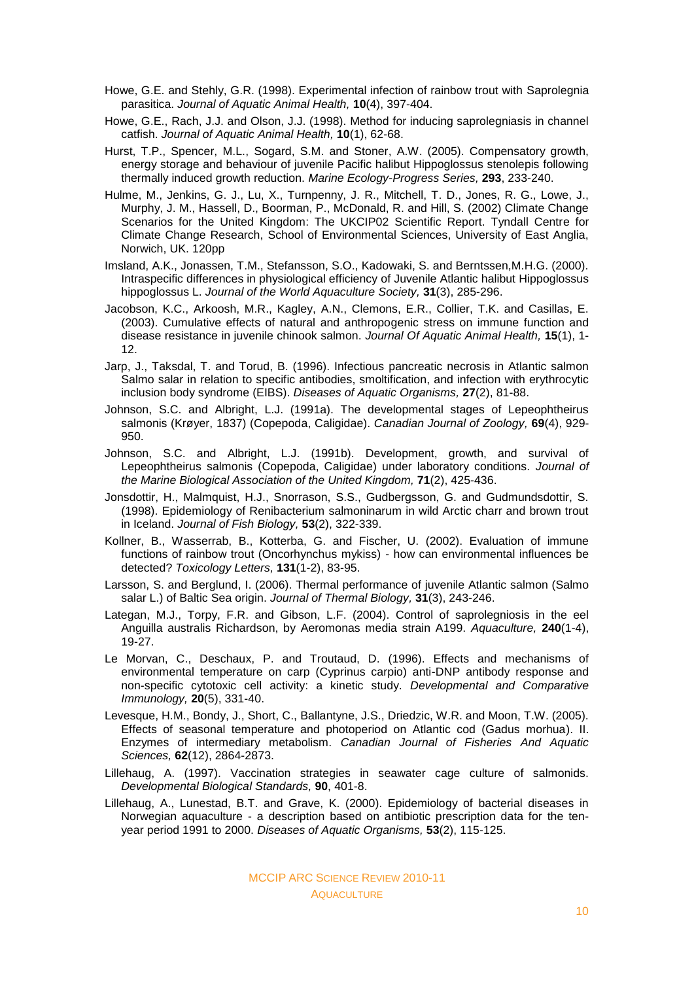- Howe, G.E. and Stehly, G.R. (1998). Experimental infection of rainbow trout with Saprolegnia parasitica. *Journal of Aquatic Animal Health,* **10**(4), 397-404.
- Howe, G.E., Rach, J.J. and Olson, J.J. (1998). Method for inducing saprolegniasis in channel catfish. *Journal of Aquatic Animal Health,* **10**(1), 62-68.
- Hurst, T.P., Spencer, M.L., Sogard, S.M. and Stoner, A.W. (2005). Compensatory growth, energy storage and behaviour of juvenile Pacific halibut Hippoglossus stenolepis following thermally induced growth reduction. *Marine Ecology-Progress Series,* **293**, 233-240.
- Hulme, M., Jenkins, G. J., Lu, X., Turnpenny, J. R., Mitchell, T. D., Jones, R. G., Lowe, J., Murphy, J. M., Hassell, D., Boorman, P., McDonald, R. and Hill, S. (2002) Climate Change Scenarios for the United Kingdom: The UKCIP02 Scientific Report. Tyndall Centre for Climate Change Research, School of Environmental Sciences, University of East Anglia, Norwich, UK. 120pp
- Imsland, A.K., Jonassen, T.M., Stefansson, S.O., Kadowaki, S. and Berntssen,M.H.G. (2000). Intraspecific differences in physiological efficiency of Juvenile Atlantic halibut Hippoglossus hippoglossus L. *Journal of the World Aquaculture Society,* **31**(3), 285-296.
- Jacobson, K.C., Arkoosh, M.R., Kagley, A.N., Clemons, E.R., Collier, T.K. and Casillas, E. (2003). Cumulative effects of natural and anthropogenic stress on immune function and disease resistance in juvenile chinook salmon. *Journal Of Aquatic Animal Health,* **15**(1), 1- 12.
- Jarp, J., Taksdal, T. and Torud, B. (1996). Infectious pancreatic necrosis in Atlantic salmon Salmo salar in relation to specific antibodies, smoltification, and infection with erythrocytic inclusion body syndrome (EIBS). *Diseases of Aquatic Organisms,* **27**(2), 81-88.
- Johnson, S.C. and Albright, L.J. (1991a). The developmental stages of Lepeophtheirus salmonis (Krøyer, 1837) (Copepoda, Caligidae). *Canadian Journal of Zoology,* **69**(4), 929- 950.
- Johnson, S.C. and Albright, L.J. (1991b). Development, growth, and survival of Lepeophtheirus salmonis (Copepoda, Caligidae) under laboratory conditions. *Journal of the Marine Biological Association of the United Kingdom,* **71**(2), 425-436.
- Jonsdottir, H., Malmquist, H.J., Snorrason, S.S., Gudbergsson, G. and Gudmundsdottir, S. (1998). Epidemiology of Renibacterium salmoninarum in wild Arctic charr and brown trout in Iceland. *Journal of Fish Biology,* **53**(2), 322-339.
- Kollner, B., Wasserrab, B., Kotterba, G. and Fischer, U. (2002). Evaluation of immune functions of rainbow trout (Oncorhynchus mykiss) - how can environmental influences be detected? *Toxicology Letters,* **131**(1-2), 83-95.
- Larsson, S. and Berglund, I. (2006). Thermal performance of juvenile Atlantic salmon (Salmo salar L.) of Baltic Sea origin. *Journal of Thermal Biology,* **31**(3), 243-246.
- Lategan, M.J., Torpy, F.R. and Gibson, L.F. (2004). Control of saprolegniosis in the eel Anguilla australis Richardson, by Aeromonas media strain A199. *Aquaculture,* **240**(1-4), 19-27.
- Le Morvan, C., Deschaux, P. and Troutaud, D. (1996). Effects and mechanisms of environmental temperature on carp (Cyprinus carpio) anti-DNP antibody response and non-specific cytotoxic cell activity: a kinetic study. *Developmental and Comparative Immunology,* **20**(5), 331-40.
- Levesque, H.M., Bondy, J., Short, C., Ballantyne, J.S., Driedzic, W.R. and Moon, T.W. (2005). Effects of seasonal temperature and photoperiod on Atlantic cod (Gadus morhua). II. Enzymes of intermediary metabolism. *Canadian Journal of Fisheries And Aquatic Sciences,* **62**(12), 2864-2873.
- Lillehaug, A. (1997). Vaccination strategies in seawater cage culture of salmonids. *Developmental Biological Standards,* **90**, 401-8.
- Lillehaug, A., Lunestad, B.T. and Grave, K. (2000). Epidemiology of bacterial diseases in Norwegian aquaculture - a description based on antibiotic prescription data for the tenyear period 1991 to 2000. *Diseases of Aquatic Organisms,* **53**(2), 115-125.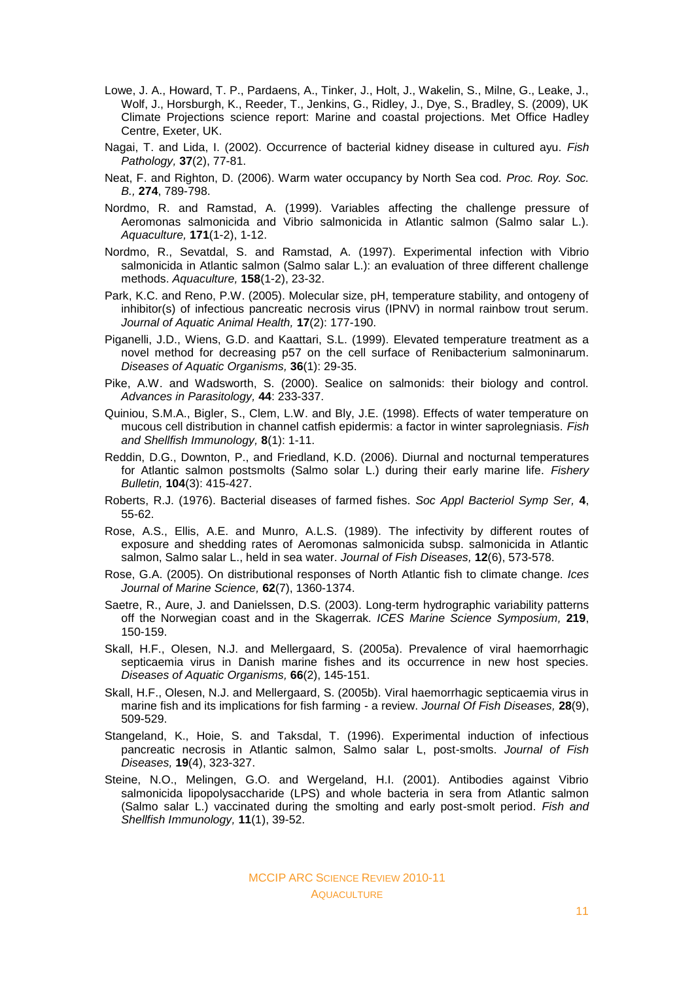- Lowe, J. A., Howard, T. P., Pardaens, A., Tinker, J., Holt, J., Wakelin, S., Milne, G., Leake, J., Wolf, J., Horsburgh, K., Reeder, T., Jenkins, G., Ridley, J., Dye, S., Bradley, S. (2009), UK Climate Projections science report: Marine and coastal projections. Met Office Hadley Centre, Exeter, UK.
- Nagai, T. and Lida, I. (2002). Occurrence of bacterial kidney disease in cultured ayu. *Fish Pathology,* **37**(2), 77-81.
- Neat, F. and Righton, D. (2006). Warm water occupancy by North Sea cod. *Proc. Roy. Soc. B.,* **274**, 789-798.
- Nordmo, R. and Ramstad, A. (1999). Variables affecting the challenge pressure of Aeromonas salmonicida and Vibrio salmonicida in Atlantic salmon (Salmo salar L.). *Aquaculture,* **171**(1-2), 1-12.
- Nordmo, R., Sevatdal, S. and Ramstad, A. (1997). Experimental infection with Vibrio salmonicida in Atlantic salmon (Salmo salar L.): an evaluation of three different challenge methods. *Aquaculture,* **158**(1-2), 23-32.
- Park, K.C. and Reno, P.W. (2005). Molecular size, pH, temperature stability, and ontogeny of inhibitor(s) of infectious pancreatic necrosis virus (IPNV) in normal rainbow trout serum. *Journal of Aquatic Animal Health,* **17**(2): 177-190.
- Piganelli, J.D., Wiens, G.D. and Kaattari, S.L. (1999). Elevated temperature treatment as a novel method for decreasing p57 on the cell surface of Renibacterium salmoninarum. *Diseases of Aquatic Organisms,* **36**(1): 29-35.
- Pike, A.W. and Wadsworth, S. (2000). Sealice on salmonids: their biology and control. *Advances in Parasitology,* **44**: 233-337.
- Quiniou, S.M.A., Bigler, S., Clem, L.W. and Bly, J.E. (1998). Effects of water temperature on mucous cell distribution in channel catfish epidermis: a factor in winter saprolegniasis. *Fish and Shellfish Immunology,* **8**(1): 1-11.
- Reddin, D.G., Downton, P., and Friedland, K.D. (2006). Diurnal and nocturnal temperatures for Atlantic salmon postsmolts (Salmo solar L.) during their early marine life. *Fishery Bulletin,* **104**(3): 415-427.
- Roberts, R.J. (1976). Bacterial diseases of farmed fishes. *Soc Appl Bacteriol Symp Ser,* **4**, 55-62.
- Rose, A.S., Ellis, A.E. and Munro, A.L.S. (1989). The infectivity by different routes of exposure and shedding rates of Aeromonas salmonicida subsp. salmonicida in Atlantic salmon, Salmo salar L., held in sea water. *Journal of Fish Diseases,* **12**(6), 573-578.
- Rose, G.A. (2005). On distributional responses of North Atlantic fish to climate change. *Ices Journal of Marine Science,* **62**(7), 1360-1374.
- Saetre, R., Aure, J. and Danielssen, D.S. (2003). Long-term hydrographic variability patterns off the Norwegian coast and in the Skagerrak*. ICES Marine Science Symposium,* **219**, 150-159.
- Skall, H.F., Olesen, N.J. and Mellergaard, S. (2005a). Prevalence of viral haemorrhagic septicaemia virus in Danish marine fishes and its occurrence in new host species. *Diseases of Aquatic Organisms,* **66**(2), 145-151.
- Skall, H.F., Olesen, N.J. and Mellergaard, S. (2005b). Viral haemorrhagic septicaemia virus in marine fish and its implications for fish farming - a review. *Journal Of Fish Diseases,* **28**(9), 509-529.
- Stangeland, K., Hoie, S. and Taksdal, T. (1996). Experimental induction of infectious pancreatic necrosis in Atlantic salmon, Salmo salar L, post-smolts. *Journal of Fish Diseases,* **19**(4), 323-327.
- Steine, N.O., Melingen, G.O. and Wergeland, H.I. (2001). Antibodies against Vibrio salmonicida lipopolysaccharide (LPS) and whole bacteria in sera from Atlantic salmon (Salmo salar L.) vaccinated during the smolting and early post-smolt period. *Fish and Shellfish Immunology,* **11**(1), 39-52.